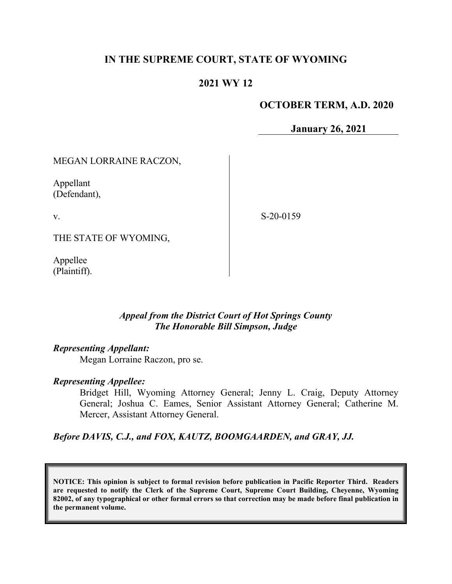# **IN THE SUPREME COURT, STATE OF WYOMING**

## **2021 WY 12**

### **OCTOBER TERM, A.D. 2020**

**January 26, 2021**

### MEGAN LORRAINE RACZON,

Appellant (Defendant),

v.

S-20-0159

THE STATE OF WYOMING,

Appellee (Plaintiff).

### *Appeal from the District Court of Hot Springs County The Honorable Bill Simpson, Judge*

### *Representing Appellant:*

Megan Lorraine Raczon, pro se.

### *Representing Appellee:*

Bridget Hill, Wyoming Attorney General; Jenny L. Craig, Deputy Attorney General; Joshua C. Eames, Senior Assistant Attorney General; Catherine M. Mercer, Assistant Attorney General.

*Before DAVIS, C.J., and FOX, KAUTZ, BOOMGAARDEN, and GRAY, JJ.*

**NOTICE: This opinion is subject to formal revision before publication in Pacific Reporter Third. Readers are requested to notify the Clerk of the Supreme Court, Supreme Court Building, Cheyenne, Wyoming 82002, of any typographical or other formal errors so that correction may be made before final publication in the permanent volume.**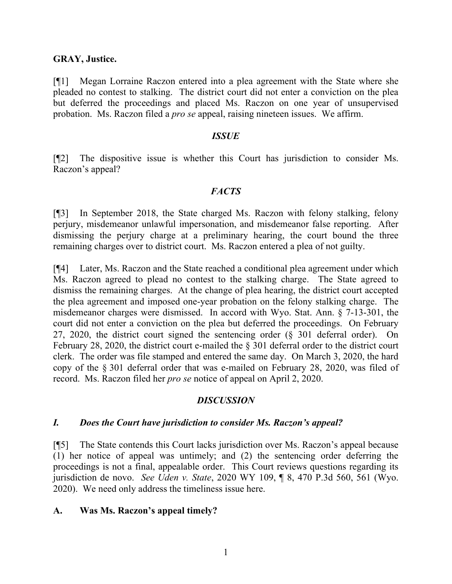#### **GRAY, Justice.**

[¶1] Megan Lorraine Raczon entered into a plea agreement with the State where she pleaded no contest to stalking. The district court did not enter a conviction on the plea but deferred the proceedings and placed Ms. Raczon on one year of unsupervised probation. Ms. Raczon filed a *pro se* appeal, raising nineteen issues. We affirm.

#### *ISSUE*

[¶2] The dispositive issue is whether this Court has jurisdiction to consider Ms. Raczon's appeal?

### *FACTS*

[¶3] In September 2018, the State charged Ms. Raczon with felony stalking, felony perjury, misdemeanor unlawful impersonation, and misdemeanor false reporting. After dismissing the perjury charge at a preliminary hearing, the court bound the three remaining charges over to district court. Ms. Raczon entered a plea of not guilty.

[¶4] Later, Ms. Raczon and the State reached a conditional plea agreement under which Ms. Raczon agreed to plead no contest to the stalking charge. The State agreed to dismiss the remaining charges. At the change of plea hearing, the district court accepted the plea agreement and imposed one-year probation on the felony stalking charge. The misdemeanor charges were dismissed. In accord with Wyo. Stat. Ann. § 7-13-301, the court did not enter a conviction on the plea but deferred the proceedings. On February 27, 2020, the district court signed the sentencing order (§ 301 deferral order). On February 28, 2020, the district court e-mailed the § 301 deferral order to the district court clerk. The order was file stamped and entered the same day. On March 3, 2020, the hard copy of the § 301 deferral order that was e-mailed on February 28, 2020, was filed of record. Ms. Raczon filed her *pro se* notice of appeal on April 2, 2020.

### *DISCUSSION*

### *I. Does the Court have jurisdiction to consider Ms. Raczon's appeal?*

[¶5] The State contends this Court lacks jurisdiction over Ms. Raczon's appeal because (1) her notice of appeal was untimely; and (2) the sentencing order deferring the proceedings is not a final, appealable order. This Court reviews questions regarding its jurisdiction de novo. *See Uden v. State*, 2020 WY 109, ¶ 8, 470 P.3d 560, 561 (Wyo. 2020). We need only address the timeliness issue here.

### **A. Was Ms. Raczon's appeal timely?**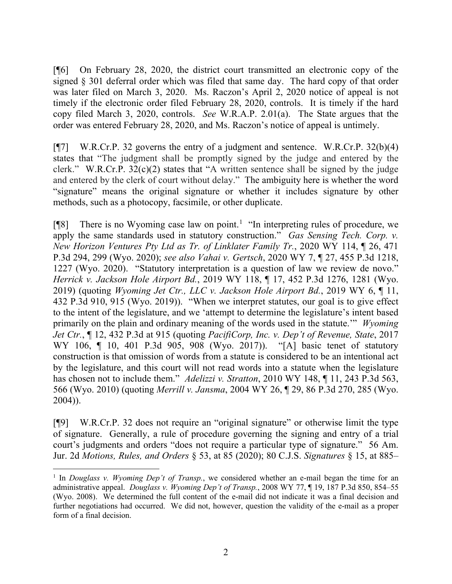[¶6] On February 28, 2020, the district court transmitted an electronic copy of the signed § 301 deferral order which was filed that same day. The hard copy of that order was later filed on March 3, 2020. Ms. Raczon's April 2, 2020 notice of appeal is not timely if the electronic order filed February 28, 2020, controls. It is timely if the hard copy filed March 3, 2020, controls. *See* W.R.A.P. 2.01(a). The State argues that the order was entered February 28, 2020, and Ms. Raczon's notice of appeal is untimely.

[¶7] W.R.Cr.P. 32 governs the entry of a judgment and sentence. W.R.Cr.P. 32(b)(4) states that "The judgment shall be promptly signed by the judge and entered by the clerk." W.R.Cr.P.  $32(c)(2)$  states that "A written sentence shall be signed by the judge and entered by the clerk of court without delay." The ambiguity here is whether the word "signature" means the original signature or whether it includes signature by other methods, such as a photocopy, facsimile, or other duplicate.

[¶8] There is no Wyoming case law on point.<sup>[1](#page-2-0)</sup> "In interpreting rules of procedure, we apply the same standards used in statutory construction." *Gas Sensing Tech. Corp. v. New Horizon Ventures Pty Ltd as Tr. of Linklater Family Tr.*, 2020 WY 114, ¶ 26, 471 P.3d 294, 299 (Wyo. 2020); *see also Vahai v. Gertsch*, 2020 WY 7, ¶ 27, 455 P.3d 1218, 1227 (Wyo. 2020). "Statutory interpretation is a question of law we review de novo." *Herrick v. Jackson Hole Airport Bd.*, 2019 WY 118, ¶ 17, 452 P.3d 1276, 1281 (Wyo. 2019) (quoting *Wyoming Jet Ctr., LLC v. Jackson Hole Airport Bd.*, 2019 WY 6, ¶ 11, 432 P.3d 910, 915 (Wyo. 2019)). "When we interpret statutes, our goal is to give effect to the intent of the legislature, and we 'attempt to determine the legislature's intent based primarily on the plain and ordinary meaning of the words used in the statute.'" *Wyoming Jet Ctr.*, ¶ 12, 432 P.3d at 915 (quoting *PacifiCorp, Inc. v. Dep't of Revenue, State*, 2017 WY 106, ¶ 10, 401 P.3d 905, 908 (Wyo. 2017)). "[A] basic tenet of statutory construction is that omission of words from a statute is considered to be an intentional act by the legislature, and this court will not read words into a statute when the legislature has chosen not to include them." *Adelizzi v. Stratton*, 2010 WY 148, ¶ 11, 243 P.3d 563, 566 (Wyo. 2010) (quoting *Merrill v. Jansma*, 2004 WY 26, ¶ 29, 86 P.3d 270, 285 (Wyo. 2004)).

[¶9] W.R.Cr.P. 32 does not require an "original signature" or otherwise limit the type of signature. Generally, a rule of procedure governing the signing and entry of a trial court's judgments and orders "does not require a particular type of signature." 56 Am. Jur. 2d *Motions, Rules, and Orders* § 53, at 85 (2020); 80 C.J.S. *Signatures* § 15, at 885–

<span id="page-2-0"></span><sup>1</sup> In *Douglass v. Wyoming Dep't of Transp.*, we considered whether an e-mail began the time for an administrative appeal. *Douglass v. Wyoming Dep't of Transp.*, 2008 WY 77, ¶ 19, 187 P.3d 850, 854–55 (Wyo. 2008). We determined the full content of the e-mail did not indicate it was a final decision and further negotiations had occurred. We did not, however, question the validity of the e-mail as a proper form of a final decision.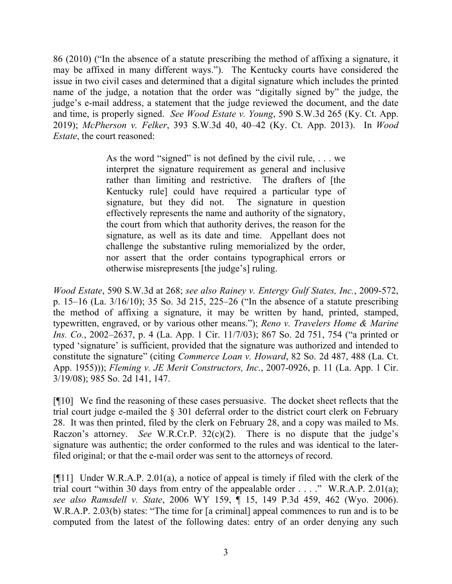86 (2010) ("In the absence of a statute prescribing the method of affixing a signature, it may be affixed in many different ways."). The Kentucky courts have considered the issue in two civil cases and determined that a digital signature which includes the printed name of the judge, a notation that the order was "digitally signed by" the judge, the judge's e-mail address, a statement that the judge reviewed the document, and the date and time, is properly signed. *See Wood Estate v. Young*, 590 S.W.3d 265 (Ky. Ct. App. 2019); *McPherson v. Felker*, 393 S.W.3d 40, 40–42 (Ky. Ct. App. 2013). In *Wood Estate*, the court reasoned:

> As the word "signed" is not defined by the civil rule,  $\dots$  we interpret the signature requirement as general and inclusive rather than limiting and restrictive. The drafters of [the Kentucky rule] could have required a particular type of signature, but they did not. The signature in question effectively represents the name and authority of the signatory, the court from which that authority derives, the reason for the signature, as well as its date and time. Appellant does not challenge the substantive ruling memorialized by the order, nor assert that the order contains typographical errors or otherwise misrepresents [the judge's] ruling.

*Wood Estate*, 590 S.W.3d at 268; *see also Rainey v. Entergy Gulf States, Inc.*, 2009-572, p. 15–16 (La. 3/16/10); 35 So. 3d 215, 225–26 ("In the absence of a statute prescribing the method of affixing a signature, it may be written by hand, printed, stamped, typewritten, engraved, or by various other means."); *Reno v. Travelers Home & Marine Ins. Co.*, 2002–2637, p. 4 (La. App. 1 Cir. 11/7/03); 867 So. 2d 751, 754 ("a printed or typed 'signature' is sufficient, provided that the signature was authorized and intended to constitute the signature" (citing *Commerce Loan v. Howard*, 82 So. 2d 487, 488 (La. Ct. App. 1955))); *Fleming v. JE Merit Constructors, Inc.*, 2007-0926, p. 11 (La. App. 1 Cir. 3/19/08); 985 So. 2d 141, 147.

[¶10] We find the reasoning of these cases persuasive. The docket sheet reflects that the trial court judge e-mailed the § 301 deferral order to the district court clerk on February 28. It was then printed, filed by the clerk on February 28, and a copy was mailed to Ms. Raczon's attorney. *See* W.R.Cr.P. 32(c)(2). There is no dispute that the judge's signature was authentic; the order conformed to the rules and was identical to the laterfiled original; or that the e-mail order was sent to the attorneys of record.

[¶11] Under W.R.A.P. 2.01(a), a notice of appeal is timely if filed with the clerk of the trial court "within 30 days from entry of the appealable order . . . ." W.R.A.P. 2.01(a); *see also Ramsdell v. State*, 2006 WY 159, ¶ 15, 149 P.3d 459, 462 (Wyo. 2006). W.R.A.P. 2.03(b) states: "The time for [a criminal] appeal commences to run and is to be computed from the latest of the following dates: entry of an order denying any such